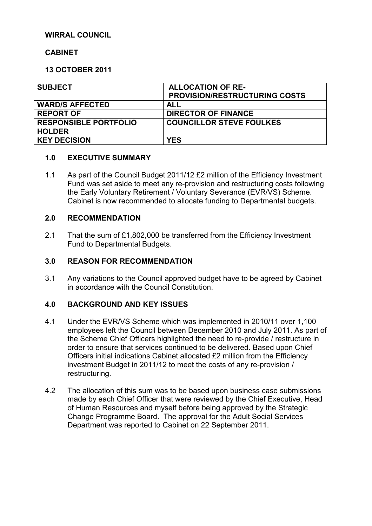## **WIRRAL COUNCIL**

## **CABINET**

## **13 OCTOBER 2011**

| <b>SUBJECT</b>               | <b>ALLOCATION OF RE-</b>             |  |
|------------------------------|--------------------------------------|--|
|                              | <b>PROVISION/RESTRUCTURING COSTS</b> |  |
| <b>WARD/S AFFECTED</b>       | <b>ALL</b>                           |  |
| <b>REPORT OF</b>             | <b>DIRECTOR OF FINANCE</b>           |  |
| <b>RESPONSIBLE PORTFOLIO</b> | <b>COUNCILLOR STEVE FOULKES</b>      |  |
| <b>HOLDER</b>                |                                      |  |
| <b>KEY DECISION</b>          | <b>YES</b>                           |  |

### **1.0 EXECUTIVE SUMMARY**

1.1 As part of the Council Budget 2011/12 £2 million of the Efficiency Investment Fund was set aside to meet any re-provision and restructuring costs following the Early Voluntary Retirement / Voluntary Severance (EVR/VS) Scheme. Cabinet is now recommended to allocate funding to Departmental budgets.

#### **2.0 RECOMMENDATION**

2.1 That the sum of £1,802,000 be transferred from the Efficiency Investment Fund to Departmental Budgets.

#### **3.0 REASON FOR RECOMMENDATION**

3.1 Any variations to the Council approved budget have to be agreed by Cabinet in accordance with the Council Constitution.

### **4.0 BACKGROUND AND KEY ISSUES**

- 4.1 Under the EVR/VS Scheme which was implemented in 2010/11 over 1,100 employees left the Council between December 2010 and July 2011. As part of the Scheme Chief Officers highlighted the need to re-provide / restructure in order to ensure that services continued to be delivered. Based upon Chief Officers initial indications Cabinet allocated £2 million from the Efficiency investment Budget in 2011/12 to meet the costs of any re-provision / restructuring.
- 4.2 The allocation of this sum was to be based upon business case submissions made by each Chief Officer that were reviewed by the Chief Executive, Head of Human Resources and myself before being approved by the Strategic Change Programme Board. The approval for the Adult Social Services Department was reported to Cabinet on 22 September 2011.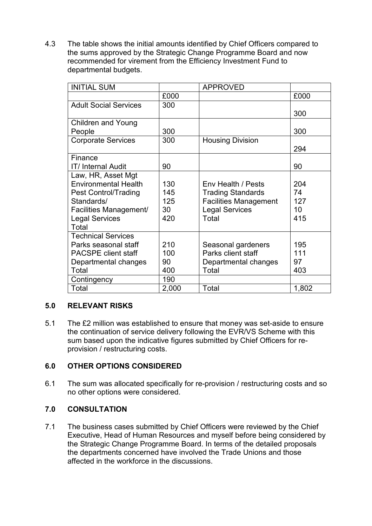4.3 The table shows the initial amounts identified by Chief Officers compared to the sums approved by the Strategic Change Programme Board and now recommended for virement from the Efficiency Investment Fund to departmental budgets.

| <b>INITIAL SUM</b>             |       | <b>APPROVED</b>              |                 |
|--------------------------------|-------|------------------------------|-----------------|
|                                | £000  |                              | £000            |
| <b>Adult Social Services</b>   | 300   |                              | 300             |
| <b>Children and Young</b>      |       |                              |                 |
| People                         | 300   |                              | 300             |
| <b>Corporate Services</b>      | 300   | <b>Housing Division</b>      | 294             |
| Finance                        |       |                              |                 |
| <b>IT/Internal Audit</b>       | 90    |                              | 90              |
| Law, HR, Asset Mgt             |       |                              |                 |
| <b>Environmental Health</b>    | 130   | Env Health / Pests           | 204             |
| <b>Pest Control/Trading</b>    | 145   | <b>Trading Standards</b>     | 74              |
| Standards/                     | 125   | <b>Facilities Management</b> | 127             |
| Facilities Management/         | 30    | <b>Legal Services</b>        | 10 <sup>°</sup> |
| <b>Legal Services</b><br>Total | 420   | Total                        | 415             |
| <b>Technical Services</b>      |       |                              |                 |
| Parks seasonal staff           | 210   | Seasonal gardeners           | 195             |
| <b>PACSPE client staff</b>     | 100   | Parks client staff           | 111             |
| Departmental changes           | 90    | Departmental changes         | 97              |
| Total                          | 400   | Total                        | 403             |
| Contingency                    | 190   |                              |                 |
| Total                          | 2,000 | Total                        | 1,802           |

# **5.0 RELEVANT RISKS**

5.1 The £2 million was established to ensure that money was set-aside to ensure the continuation of service delivery following the EVR/VS Scheme with this sum based upon the indicative figures submitted by Chief Officers for reprovision / restructuring costs.

### **6.0 OTHER OPTIONS CONSIDERED**

6.1 The sum was allocated specifically for re-provision / restructuring costs and so no other options were considered.

## **7.0 CONSULTATION**

7.1 The business cases submitted by Chief Officers were reviewed by the Chief Executive, Head of Human Resources and myself before being considered by the Strategic Change Programme Board. In terms of the detailed proposals the departments concerned have involved the Trade Unions and those affected in the workforce in the discussions.